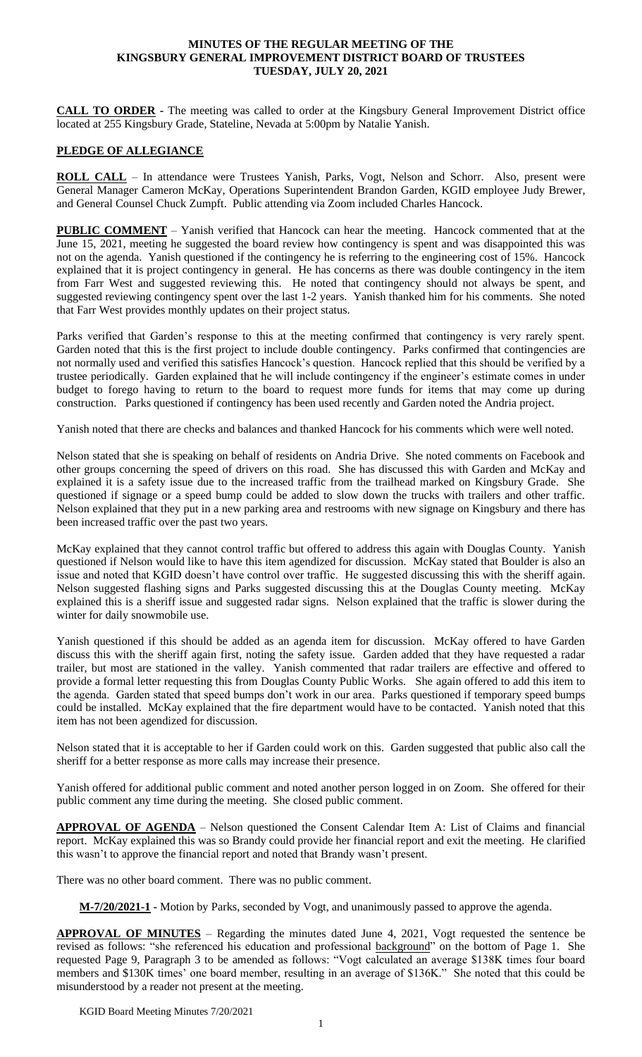#### **MINUTES OF THE REGULAR MEETING OF THE KINGSBURY GENERAL IMPROVEMENT DISTRICT BOARD OF TRUSTEES TUESDAY, JULY 20, 2021**

**CALL TO ORDER -** The meeting was called to order at the Kingsbury General Improvement District office located at 255 Kingsbury Grade, Stateline, Nevada at 5:00pm by Natalie Yanish.

#### **PLEDGE OF ALLEGIANCE**

ROLL CALL - In attendance were Trustees Yanish, Parks, Vogt, Nelson and Schorr. Also, present were General Manager Cameron McKay, Operations Superintendent Brandon Garden, KGID employee Judy Brewer, and General Counsel Chuck Zumpft. Public attending via Zoom included Charles Hancock.

**PUBLIC COMMENT** – Yanish verified that Hancock can hear the meeting. Hancock commented that at the June 15, 2021, meeting he suggested the board review how contingency is spent and was disappointed this was not on the agenda. Yanish questioned if the contingency he is referring to the engineering cost of 15%. Hancock explained that it is project contingency in general. He has concerns as there was double contingency in the item from Farr West and suggested reviewing this. He noted that contingency should not always be spent, and suggested reviewing contingency spent over the last 1-2 years. Yanish thanked him for his comments. She noted that Farr West provides monthly updates on their project status.

Parks verified that Garden's response to this at the meeting confirmed that contingency is very rarely spent. Garden noted that this is the first project to include double contingency. Parks confirmed that contingencies are not normally used and verified this satisfies Hancock's question. Hancock replied that this should be verified by a trustee periodically. Garden explained that he will include contingency if the engineer's estimate comes in under budget to forego having to return to the board to request more funds for items that may come up during construction. Parks questioned if contingency has been used recently and Garden noted the Andria project.

Yanish noted that there are checks and balances and thanked Hancock for his comments which were well noted.

Nelson stated that she is speaking on behalf of residents on Andria Drive. She noted comments on Facebook and other groups concerning the speed of drivers on this road. She has discussed this with Garden and McKay and explained it is a safety issue due to the increased traffic from the trailhead marked on Kingsbury Grade. She questioned if signage or a speed bump could be added to slow down the trucks with trailers and other traffic. Nelson explained that they put in a new parking area and restrooms with new signage on Kingsbury and there has been increased traffic over the past two years.

McKay explained that they cannot control traffic but offered to address this again with Douglas County. Yanish questioned if Nelson would like to have this item agendized for discussion. McKay stated that Boulder is also an issue and noted that KGID doesn't have control over traffic. He suggested discussing this with the sheriff again. Nelson suggested flashing signs and Parks suggested discussing this at the Douglas County meeting. McKay explained this is a sheriff issue and suggested radar signs. Nelson explained that the traffic is slower during the winter for daily snowmobile use.

Yanish questioned if this should be added as an agenda item for discussion. McKay offered to have Garden discuss this with the sheriff again first, noting the safety issue. Garden added that they have requested a radar trailer, but most are stationed in the valley. Yanish commented that radar trailers are effective and offered to provide a formal letter requesting this from Douglas County Public Works. She again offered to add this item to the agenda. Garden stated that speed bumps don't work in our area. Parks questioned if temporary speed bumps could be installed. McKay explained that the fire department would have to be contacted. Yanish noted that this item has not been agendized for discussion.

Nelson stated that it is acceptable to her if Garden could work on this. Garden suggested that public also call the sheriff for a better response as more calls may increase their presence.

Yanish offered for additional public comment and noted another person logged in on Zoom. She offered for their public comment any time during the meeting. She closed public comment.

**APPROVAL OF AGENDA** – Nelson questioned the Consent Calendar Item A: List of Claims and financial report. McKay explained this was so Brandy could provide her financial report and exit the meeting. He clarified this wasn't to approve the financial report and noted that Brandy wasn't present.

There was no other board comment. There was no public comment.

**M-7/20/2021-1 -** Motion by Parks, seconded by Vogt, and unanimously passed to approve the agenda.

**APPROVAL OF MINUTES** – Regarding the minutes dated June 4, 2021, Vogt requested the sentence be revised as follows: "she referenced his education and professional background" on the bottom of Page 1. She requested Page 9, Paragraph 3 to be amended as follows: "Vogt calculated an average \$138K times four board members and \$130K times' one board member, resulting in an average of \$136K." She noted that this could be misunderstood by a reader not present at the meeting.

KGID Board Meeting Minutes 7/20/2021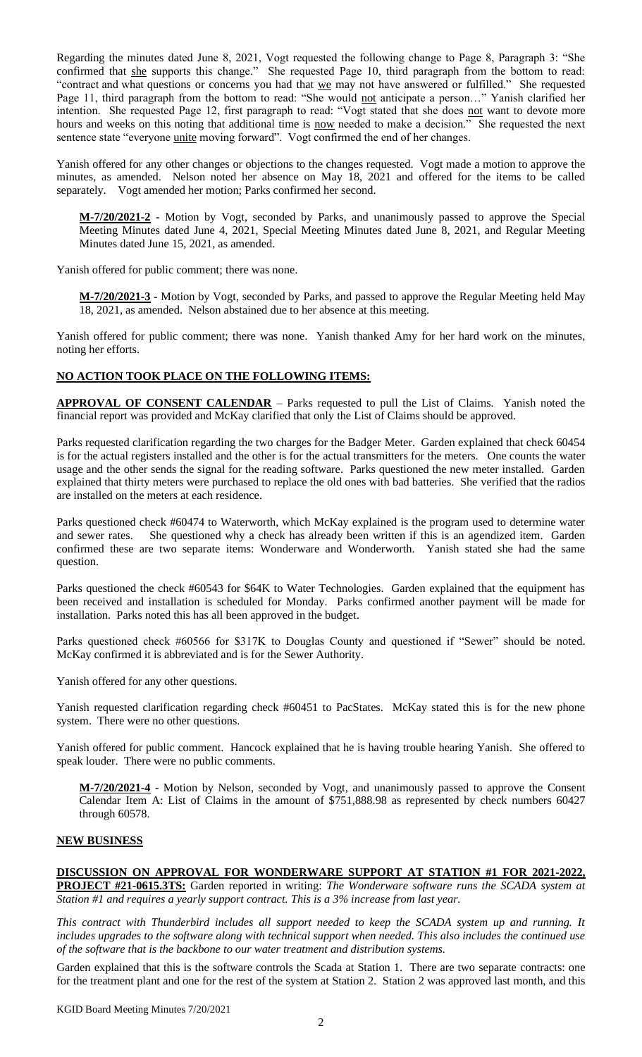Regarding the minutes dated June 8, 2021, Vogt requested the following change to Page 8, Paragraph 3: "She confirmed that she supports this change." She requested Page 10, third paragraph from the bottom to read: "contract and what questions or concerns you had that we may not have answered or fulfilled." She requested Page 11, third paragraph from the bottom to read: "She would not anticipate a person..." Yanish clarified her intention. She requested Page 12, first paragraph to read: "Vogt stated that she does not want to devote more hours and weeks on this noting that additional time is now needed to make a decision." She requested the next sentence state "everyone *unite* moving forward". Vogt confirmed the end of her changes.

Yanish offered for any other changes or objections to the changes requested. Vogt made a motion to approve the minutes, as amended. Nelson noted her absence on May 18, 2021 and offered for the items to be called separately. Vogt amended her motion; Parks confirmed her second.

**M-7/20/2021-2 -** Motion by Vogt, seconded by Parks, and unanimously passed to approve the Special Meeting Minutes dated June 4, 2021, Special Meeting Minutes dated June 8, 2021, and Regular Meeting Minutes dated June 15, 2021, as amended.

Yanish offered for public comment; there was none.

**M-7/20/2021-3 -** Motion by Vogt, seconded by Parks, and passed to approve the Regular Meeting held May 18, 2021, as amended. Nelson abstained due to her absence at this meeting.

Yanish offered for public comment; there was none. Yanish thanked Amy for her hard work on the minutes, noting her efforts.

# **NO ACTION TOOK PLACE ON THE FOLLOWING ITEMS:**

**APPROVAL OF CONSENT CALENDAR** – Parks requested to pull the List of Claims. Yanish noted the financial report was provided and McKay clarified that only the List of Claims should be approved.

Parks requested clarification regarding the two charges for the Badger Meter. Garden explained that check 60454 is for the actual registers installed and the other is for the actual transmitters for the meters. One counts the water usage and the other sends the signal for the reading software. Parks questioned the new meter installed. Garden explained that thirty meters were purchased to replace the old ones with bad batteries. She verified that the radios are installed on the meters at each residence.

Parks questioned check #60474 to Waterworth, which McKay explained is the program used to determine water and sewer rates. She questioned why a check has already been written if this is an agendized item. Garden confirmed these are two separate items: Wonderware and Wonderworth. Yanish stated she had the same question.

Parks questioned the check #60543 for \$64K to Water Technologies. Garden explained that the equipment has been received and installation is scheduled for Monday. Parks confirmed another payment will be made for installation. Parks noted this has all been approved in the budget.

Parks questioned check #60566 for \$317K to Douglas County and questioned if "Sewer" should be noted. McKay confirmed it is abbreviated and is for the Sewer Authority.

Yanish offered for any other questions.

Yanish requested clarification regarding check #60451 to PacStates. McKay stated this is for the new phone system. There were no other questions.

Yanish offered for public comment. Hancock explained that he is having trouble hearing Yanish. She offered to speak louder. There were no public comments.

**M-7/20/2021-4 -** Motion by Nelson, seconded by Vogt, and unanimously passed to approve the Consent Calendar Item A: List of Claims in the amount of \$751,888.98 as represented by check numbers 60427 through 60578.

### **NEW BUSINESS**

**DISCUSSION ON APPROVAL FOR WONDERWARE SUPPORT AT STATION #1 FOR 2021-2022, PROJECT #21-0615.3TS:** Garden reported in writing: *The Wonderware software runs the SCADA system at Station #1 and requires a yearly support contract. This is a 3% increase from last year.*

*This contract with Thunderbird includes all support needed to keep the SCADA system up and running. It includes upgrades to the software along with technical support when needed. This also includes the continued use of the software that is the backbone to our water treatment and distribution systems.*

Garden explained that this is the software controls the Scada at Station 1. There are two separate contracts: one for the treatment plant and one for the rest of the system at Station 2. Station 2 was approved last month, and this

KGID Board Meeting Minutes 7/20/2021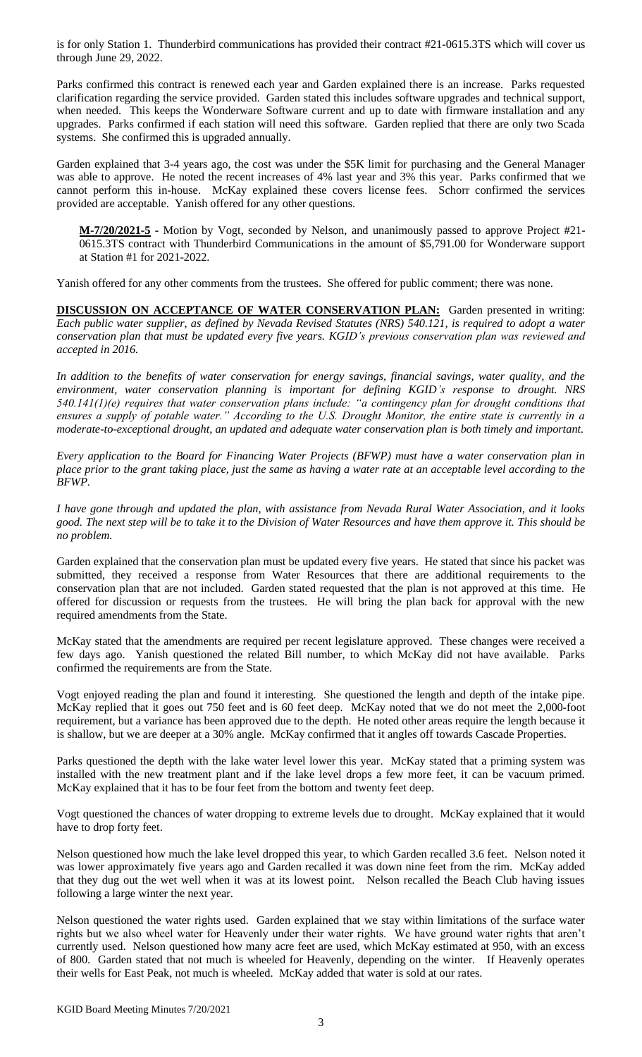is for only Station 1. Thunderbird communications has provided their contract #21-0615.3TS which will cover us through June 29, 2022.

Parks confirmed this contract is renewed each year and Garden explained there is an increase. Parks requested clarification regarding the service provided. Garden stated this includes software upgrades and technical support, when needed. This keeps the Wonderware Software current and up to date with firmware installation and any upgrades. Parks confirmed if each station will need this software. Garden replied that there are only two Scada systems. She confirmed this is upgraded annually.

Garden explained that 3-4 years ago, the cost was under the \$5K limit for purchasing and the General Manager was able to approve. He noted the recent increases of 4% last year and 3% this year. Parks confirmed that we cannot perform this in-house. McKay explained these covers license fees. Schorr confirmed the services provided are acceptable. Yanish offered for any other questions.

**M-7/20/2021-5 -** Motion by Vogt, seconded by Nelson, and unanimously passed to approve Project #21- 0615.3TS contract with Thunderbird Communications in the amount of \$5,791.00 for Wonderware support at Station #1 for 2021-2022.

Yanish offered for any other comments from the trustees. She offered for public comment; there was none.

**DISCUSSION ON ACCEPTANCE OF WATER CONSERVATION PLAN:** Garden presented in writing: *Each public water supplier, as defined by Nevada Revised Statutes (NRS) 540.121, is required to adopt a water conservation plan that must be updated every five years. KGID's previous conservation plan was reviewed and accepted in 2016.*

*In addition to the benefits of water conservation for energy savings, financial savings, water quality, and the environment, water conservation planning is important for defining KGID's response to drought. NRS 540.141(1)(e) requires that water conservation plans include: "a contingency plan for drought conditions that ensures a supply of potable water." According to the U.S. Drought Monitor, the entire state is currently in a moderate-to-exceptional drought, an updated and adequate water conservation plan is both timely and important.*

*Every application to the Board for Financing Water Projects (BFWP) must have a water conservation plan in place prior to the grant taking place, just the same as having a water rate at an acceptable level according to the BFWP.*

*I have gone through and updated the plan, with assistance from Nevada Rural Water Association, and it looks good. The next step will be to take it to the Division of Water Resources and have them approve it. This should be no problem.*

Garden explained that the conservation plan must be updated every five years. He stated that since his packet was submitted, they received a response from Water Resources that there are additional requirements to the conservation plan that are not included. Garden stated requested that the plan is not approved at this time. He offered for discussion or requests from the trustees. He will bring the plan back for approval with the new required amendments from the State.

McKay stated that the amendments are required per recent legislature approved. These changes were received a few days ago. Yanish questioned the related Bill number, to which McKay did not have available. Parks confirmed the requirements are from the State.

Vogt enjoyed reading the plan and found it interesting. She questioned the length and depth of the intake pipe. McKay replied that it goes out 750 feet and is 60 feet deep. McKay noted that we do not meet the 2,000-foot requirement, but a variance has been approved due to the depth. He noted other areas require the length because it is shallow, but we are deeper at a 30% angle. McKay confirmed that it angles off towards Cascade Properties.

Parks questioned the depth with the lake water level lower this year. McKay stated that a priming system was installed with the new treatment plant and if the lake level drops a few more feet, it can be vacuum primed. McKay explained that it has to be four feet from the bottom and twenty feet deep.

Vogt questioned the chances of water dropping to extreme levels due to drought. McKay explained that it would have to drop forty feet.

Nelson questioned how much the lake level dropped this year, to which Garden recalled 3.6 feet. Nelson noted it was lower approximately five years ago and Garden recalled it was down nine feet from the rim. McKay added that they dug out the wet well when it was at its lowest point. Nelson recalled the Beach Club having issues following a large winter the next year.

Nelson questioned the water rights used. Garden explained that we stay within limitations of the surface water rights but we also wheel water for Heavenly under their water rights. We have ground water rights that aren't currently used. Nelson questioned how many acre feet are used, which McKay estimated at 950, with an excess of 800. Garden stated that not much is wheeled for Heavenly, depending on the winter. If Heavenly operates their wells for East Peak, not much is wheeled. McKay added that water is sold at our rates.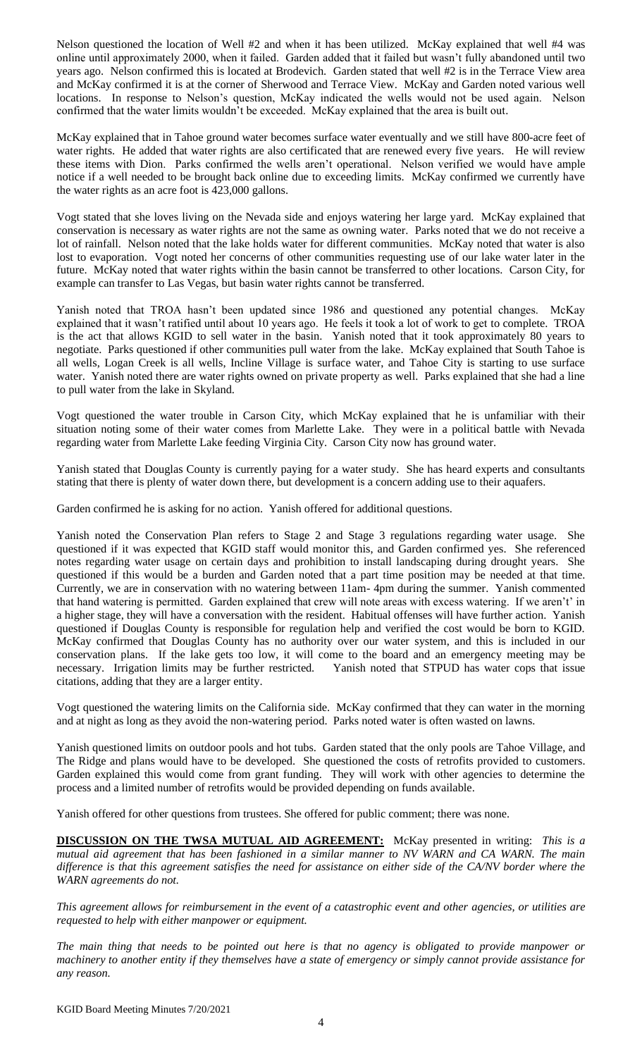Nelson questioned the location of Well #2 and when it has been utilized. McKay explained that well #4 was online until approximately 2000, when it failed. Garden added that it failed but wasn't fully abandoned until two years ago. Nelson confirmed this is located at Brodevich. Garden stated that well #2 is in the Terrace View area and McKay confirmed it is at the corner of Sherwood and Terrace View. McKay and Garden noted various well locations. In response to Nelson's question, McKay indicated the wells would not be used again. Nelson confirmed that the water limits wouldn't be exceeded. McKay explained that the area is built out.

McKay explained that in Tahoe ground water becomes surface water eventually and we still have 800-acre feet of water rights. He added that water rights are also certificated that are renewed every five years. He will review these items with Dion. Parks confirmed the wells aren't operational. Nelson verified we would have ample notice if a well needed to be brought back online due to exceeding limits. McKay confirmed we currently have the water rights as an acre foot is 423,000 gallons.

Vogt stated that she loves living on the Nevada side and enjoys watering her large yard. McKay explained that conservation is necessary as water rights are not the same as owning water. Parks noted that we do not receive a lot of rainfall. Nelson noted that the lake holds water for different communities. McKay noted that water is also lost to evaporation. Vogt noted her concerns of other communities requesting use of our lake water later in the future. McKay noted that water rights within the basin cannot be transferred to other locations. Carson City, for example can transfer to Las Vegas, but basin water rights cannot be transferred.

Yanish noted that TROA hasn't been updated since 1986 and questioned any potential changes. McKay explained that it wasn't ratified until about 10 years ago. He feels it took a lot of work to get to complete. TROA is the act that allows KGID to sell water in the basin. Yanish noted that it took approximately 80 years to negotiate. Parks questioned if other communities pull water from the lake. McKay explained that South Tahoe is all wells, Logan Creek is all wells, Incline Village is surface water, and Tahoe City is starting to use surface water. Yanish noted there are water rights owned on private property as well. Parks explained that she had a line to pull water from the lake in Skyland.

Vogt questioned the water trouble in Carson City, which McKay explained that he is unfamiliar with their situation noting some of their water comes from Marlette Lake. They were in a political battle with Nevada regarding water from Marlette Lake feeding Virginia City. Carson City now has ground water.

Yanish stated that Douglas County is currently paying for a water study. She has heard experts and consultants stating that there is plenty of water down there, but development is a concern adding use to their aquafers.

Garden confirmed he is asking for no action. Yanish offered for additional questions.

Yanish noted the Conservation Plan refers to Stage 2 and Stage 3 regulations regarding water usage. She questioned if it was expected that KGID staff would monitor this, and Garden confirmed yes. She referenced notes regarding water usage on certain days and prohibition to install landscaping during drought years. She questioned if this would be a burden and Garden noted that a part time position may be needed at that time. Currently, we are in conservation with no watering between 11am- 4pm during the summer. Yanish commented that hand watering is permitted. Garden explained that crew will note areas with excess watering. If we aren't' in a higher stage, they will have a conversation with the resident. Habitual offenses will have further action. Yanish questioned if Douglas County is responsible for regulation help and verified the cost would be born to KGID. McKay confirmed that Douglas County has no authority over our water system, and this is included in our conservation plans. If the lake gets too low, it will come to the board and an emergency meeting may be necessary. Irrigation limits may be further restricted. Yanish noted that STPUD has water cops that issue citations, adding that they are a larger entity.

Vogt questioned the watering limits on the California side. McKay confirmed that they can water in the morning and at night as long as they avoid the non-watering period. Parks noted water is often wasted on lawns.

Yanish questioned limits on outdoor pools and hot tubs. Garden stated that the only pools are Tahoe Village, and The Ridge and plans would have to be developed. She questioned the costs of retrofits provided to customers. Garden explained this would come from grant funding. They will work with other agencies to determine the process and a limited number of retrofits would be provided depending on funds available.

Yanish offered for other questions from trustees. She offered for public comment; there was none.

**DISCUSSION ON THE TWSA MUTUAL AID AGREEMENT:** McKay presented in writing: *This is a mutual aid agreement that has been fashioned in a similar manner to NV WARN and CA WARN. The main difference is that this agreement satisfies the need for assistance on either side of the CA/NV border where the WARN agreements do not.*

*This agreement allows for reimbursement in the event of a catastrophic event and other agencies, or utilities are requested to help with either manpower or equipment.*

*The main thing that needs to be pointed out here is that no agency is obligated to provide manpower or machinery to another entity if they themselves have a state of emergency or simply cannot provide assistance for any reason.*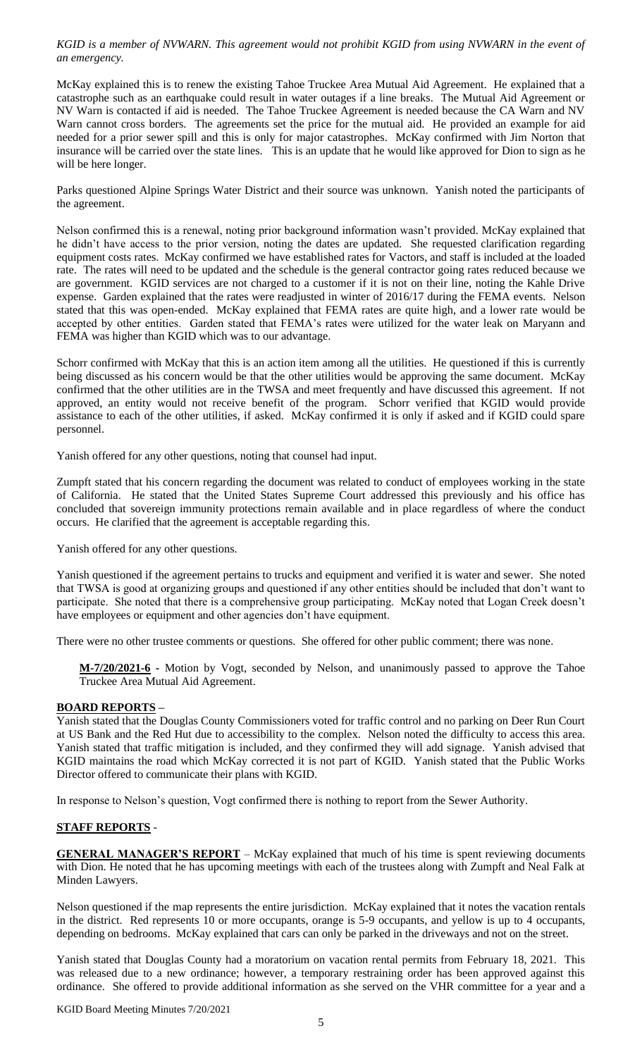*KGID is a member of NVWARN. This agreement would not prohibit KGID from using NVWARN in the event of an emergency.*

McKay explained this is to renew the existing Tahoe Truckee Area Mutual Aid Agreement. He explained that a catastrophe such as an earthquake could result in water outages if a line breaks. The Mutual Aid Agreement or NV Warn is contacted if aid is needed. The Tahoe Truckee Agreement is needed because the CA Warn and NV Warn cannot cross borders. The agreements set the price for the mutual aid. He provided an example for aid needed for a prior sewer spill and this is only for major catastrophes. McKay confirmed with Jim Norton that insurance will be carried over the state lines. This is an update that he would like approved for Dion to sign as he will be here longer.

Parks questioned Alpine Springs Water District and their source was unknown. Yanish noted the participants of the agreement.

Nelson confirmed this is a renewal, noting prior background information wasn't provided. McKay explained that he didn't have access to the prior version, noting the dates are updated. She requested clarification regarding equipment costs rates. McKay confirmed we have established rates for Vactors, and staff is included at the loaded rate. The rates will need to be updated and the schedule is the general contractor going rates reduced because we are government. KGID services are not charged to a customer if it is not on their line, noting the Kahle Drive expense. Garden explained that the rates were readjusted in winter of 2016/17 during the FEMA events. Nelson stated that this was open-ended. McKay explained that FEMA rates are quite high, and a lower rate would be accepted by other entities. Garden stated that FEMA's rates were utilized for the water leak on Maryann and FEMA was higher than KGID which was to our advantage.

Schorr confirmed with McKay that this is an action item among all the utilities. He questioned if this is currently being discussed as his concern would be that the other utilities would be approving the same document. McKay confirmed that the other utilities are in the TWSA and meet frequently and have discussed this agreement. If not approved, an entity would not receive benefit of the program. Schorr verified that KGID would provide assistance to each of the other utilities, if asked. McKay confirmed it is only if asked and if KGID could spare personnel.

Yanish offered for any other questions, noting that counsel had input.

Zumpft stated that his concern regarding the document was related to conduct of employees working in the state of California. He stated that the United States Supreme Court addressed this previously and his office has concluded that sovereign immunity protections remain available and in place regardless of where the conduct occurs. He clarified that the agreement is acceptable regarding this.

Yanish offered for any other questions.

Yanish questioned if the agreement pertains to trucks and equipment and verified it is water and sewer. She noted that TWSA is good at organizing groups and questioned if any other entities should be included that don't want to participate. She noted that there is a comprehensive group participating. McKay noted that Logan Creek doesn't have employees or equipment and other agencies don't have equipment.

There were no other trustee comments or questions. She offered for other public comment; there was none.

**M-7/20/2021-6 -** Motion by Vogt, seconded by Nelson, and unanimously passed to approve the Tahoe Truckee Area Mutual Aid Agreement.

### **BOARD REPORTS –**

Yanish stated that the Douglas County Commissioners voted for traffic control and no parking on Deer Run Court at US Bank and the Red Hut due to accessibility to the complex. Nelson noted the difficulty to access this area. Yanish stated that traffic mitigation is included, and they confirmed they will add signage. Yanish advised that KGID maintains the road which McKay corrected it is not part of KGID. Yanish stated that the Public Works Director offered to communicate their plans with KGID.

In response to Nelson's question, Vogt confirmed there is nothing to report from the Sewer Authority.

### **STAFF REPORTS** -

**GENERAL MANAGER'S REPORT** – McKay explained that much of his time is spent reviewing documents with Dion. He noted that he has upcoming meetings with each of the trustees along with Zumpft and Neal Falk at Minden Lawyers.

Nelson questioned if the map represents the entire jurisdiction. McKay explained that it notes the vacation rentals in the district. Red represents 10 or more occupants, orange is 5-9 occupants, and yellow is up to 4 occupants, depending on bedrooms. McKay explained that cars can only be parked in the driveways and not on the street.

Yanish stated that Douglas County had a moratorium on vacation rental permits from February 18, 2021. This was released due to a new ordinance; however, a temporary restraining order has been approved against this ordinance. She offered to provide additional information as she served on the VHR committee for a year and a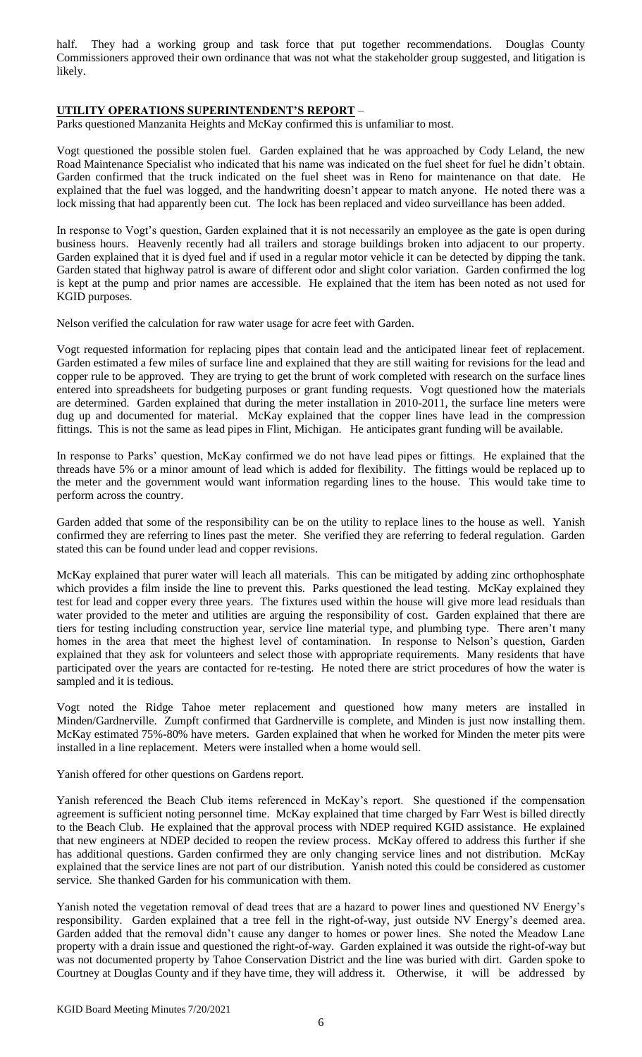half. They had a working group and task force that put together recommendations. Douglas County Commissioners approved their own ordinance that was not what the stakeholder group suggested, and litigation is likely.

### **UTILITY OPERATIONS SUPERINTENDENT'S REPORT** –

Parks questioned Manzanita Heights and McKay confirmed this is unfamiliar to most.

Vogt questioned the possible stolen fuel. Garden explained that he was approached by Cody Leland, the new Road Maintenance Specialist who indicated that his name was indicated on the fuel sheet for fuel he didn't obtain. Garden confirmed that the truck indicated on the fuel sheet was in Reno for maintenance on that date. He explained that the fuel was logged, and the handwriting doesn't appear to match anyone. He noted there was a lock missing that had apparently been cut. The lock has been replaced and video surveillance has been added.

In response to Vogt's question, Garden explained that it is not necessarily an employee as the gate is open during business hours. Heavenly recently had all trailers and storage buildings broken into adjacent to our property. Garden explained that it is dyed fuel and if used in a regular motor vehicle it can be detected by dipping the tank. Garden stated that highway patrol is aware of different odor and slight color variation. Garden confirmed the log is kept at the pump and prior names are accessible. He explained that the item has been noted as not used for KGID purposes.

Nelson verified the calculation for raw water usage for acre feet with Garden.

Vogt requested information for replacing pipes that contain lead and the anticipated linear feet of replacement. Garden estimated a few miles of surface line and explained that they are still waiting for revisions for the lead and copper rule to be approved. They are trying to get the brunt of work completed with research on the surface lines entered into spreadsheets for budgeting purposes or grant funding requests. Vogt questioned how the materials are determined. Garden explained that during the meter installation in 2010-2011, the surface line meters were dug up and documented for material. McKay explained that the copper lines have lead in the compression fittings. This is not the same as lead pipes in Flint, Michigan. He anticipates grant funding will be available.

In response to Parks' question, McKay confirmed we do not have lead pipes or fittings. He explained that the threads have 5% or a minor amount of lead which is added for flexibility. The fittings would be replaced up to the meter and the government would want information regarding lines to the house. This would take time to perform across the country.

Garden added that some of the responsibility can be on the utility to replace lines to the house as well. Yanish confirmed they are referring to lines past the meter. She verified they are referring to federal regulation. Garden stated this can be found under lead and copper revisions.

McKay explained that purer water will leach all materials. This can be mitigated by adding zinc orthophosphate which provides a film inside the line to prevent this. Parks questioned the lead testing. McKay explained they test for lead and copper every three years. The fixtures used within the house will give more lead residuals than water provided to the meter and utilities are arguing the responsibility of cost. Garden explained that there are tiers for testing including construction year, service line material type, and plumbing type. There aren't many homes in the area that meet the highest level of contamination. In response to Nelson's question, Garden explained that they ask for volunteers and select those with appropriate requirements. Many residents that have participated over the years are contacted for re-testing. He noted there are strict procedures of how the water is sampled and it is tedious.

Vogt noted the Ridge Tahoe meter replacement and questioned how many meters are installed in Minden/Gardnerville. Zumpft confirmed that Gardnerville is complete, and Minden is just now installing them. McKay estimated 75%-80% have meters. Garden explained that when he worked for Minden the meter pits were installed in a line replacement. Meters were installed when a home would sell.

Yanish offered for other questions on Gardens report.

Yanish referenced the Beach Club items referenced in McKay's report. She questioned if the compensation agreement is sufficient noting personnel time. McKay explained that time charged by Farr West is billed directly to the Beach Club. He explained that the approval process with NDEP required KGID assistance. He explained that new engineers at NDEP decided to reopen the review process. McKay offered to address this further if she has additional questions. Garden confirmed they are only changing service lines and not distribution. McKay explained that the service lines are not part of our distribution. Yanish noted this could be considered as customer service. She thanked Garden for his communication with them.

Yanish noted the vegetation removal of dead trees that are a hazard to power lines and questioned NV Energy's responsibility. Garden explained that a tree fell in the right-of-way, just outside NV Energy's deemed area. Garden added that the removal didn't cause any danger to homes or power lines. She noted the Meadow Lane property with a drain issue and questioned the right-of-way. Garden explained it was outside the right-of-way but was not documented property by Tahoe Conservation District and the line was buried with dirt. Garden spoke to Courtney at Douglas County and if they have time, they will address it. Otherwise, it will be addressed by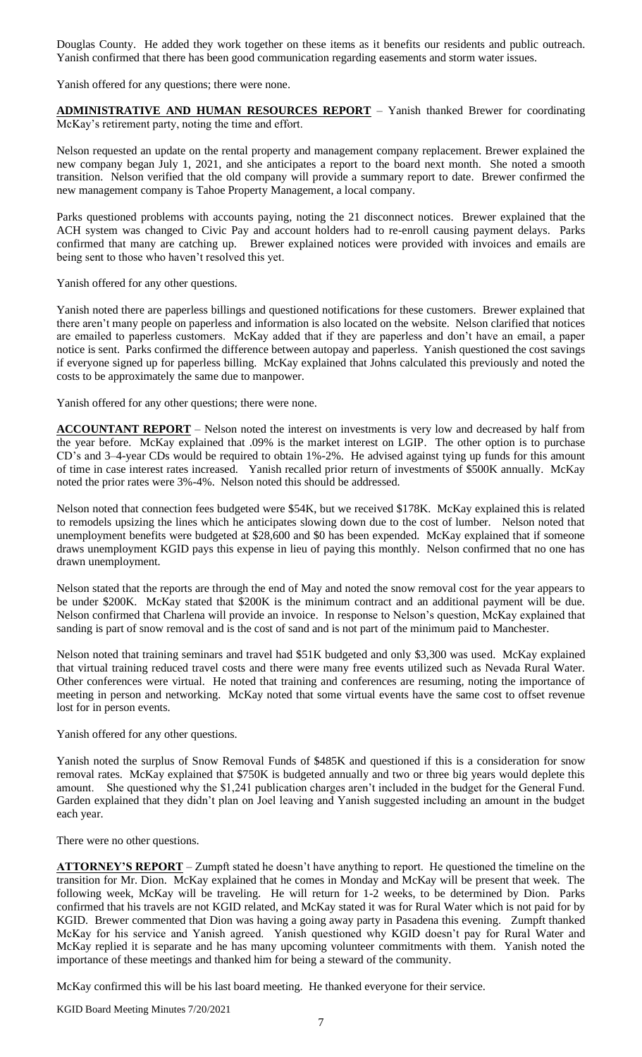Douglas County. He added they work together on these items as it benefits our residents and public outreach. Yanish confirmed that there has been good communication regarding easements and storm water issues.

Yanish offered for any questions; there were none.

**ADMINISTRATIVE AND HUMAN RESOURCES REPORT** – Yanish thanked Brewer for coordinating McKay's retirement party, noting the time and effort.

Nelson requested an update on the rental property and management company replacement. Brewer explained the new company began July 1, 2021, and she anticipates a report to the board next month. She noted a smooth transition. Nelson verified that the old company will provide a summary report to date. Brewer confirmed the new management company is Tahoe Property Management, a local company.

Parks questioned problems with accounts paying, noting the 21 disconnect notices. Brewer explained that the ACH system was changed to Civic Pay and account holders had to re-enroll causing payment delays. Parks confirmed that many are catching up. Brewer explained notices were provided with invoices and emails are being sent to those who haven't resolved this yet.

Yanish offered for any other questions.

Yanish noted there are paperless billings and questioned notifications for these customers. Brewer explained that there aren't many people on paperless and information is also located on the website. Nelson clarified that notices are emailed to paperless customers. McKay added that if they are paperless and don't have an email, a paper notice is sent. Parks confirmed the difference between autopay and paperless. Yanish questioned the cost savings if everyone signed up for paperless billing. McKay explained that Johns calculated this previously and noted the costs to be approximately the same due to manpower.

Yanish offered for any other questions; there were none.

**ACCOUNTANT REPORT** – Nelson noted the interest on investments is very low and decreased by half from the year before. McKay explained that .09% is the market interest on LGIP. The other option is to purchase CD's and 3–4-year CDs would be required to obtain 1%-2%. He advised against tying up funds for this amount of time in case interest rates increased. Yanish recalled prior return of investments of \$500K annually. McKay noted the prior rates were 3%-4%. Nelson noted this should be addressed.

Nelson noted that connection fees budgeted were \$54K, but we received \$178K. McKay explained this is related to remodels upsizing the lines which he anticipates slowing down due to the cost of lumber. Nelson noted that unemployment benefits were budgeted at \$28,600 and \$0 has been expended. McKay explained that if someone draws unemployment KGID pays this expense in lieu of paying this monthly. Nelson confirmed that no one has drawn unemployment.

Nelson stated that the reports are through the end of May and noted the snow removal cost for the year appears to be under \$200K. McKay stated that \$200K is the minimum contract and an additional payment will be due. Nelson confirmed that Charlena will provide an invoice. In response to Nelson's question, McKay explained that sanding is part of snow removal and is the cost of sand and is not part of the minimum paid to Manchester.

Nelson noted that training seminars and travel had \$51K budgeted and only \$3,300 was used. McKay explained that virtual training reduced travel costs and there were many free events utilized such as Nevada Rural Water. Other conferences were virtual. He noted that training and conferences are resuming, noting the importance of meeting in person and networking. McKay noted that some virtual events have the same cost to offset revenue lost for in person events.

Yanish offered for any other questions.

Yanish noted the surplus of Snow Removal Funds of \$485K and questioned if this is a consideration for snow removal rates. McKay explained that \$750K is budgeted annually and two or three big years would deplete this amount. She questioned why the \$1,241 publication charges aren't included in the budget for the General Fund. Garden explained that they didn't plan on Joel leaving and Yanish suggested including an amount in the budget each year.

There were no other questions.

**ATTORNEY'S REPORT** – Zumpft stated he doesn't have anything to report. He questioned the timeline on the transition for Mr. Dion. McKay explained that he comes in Monday and McKay will be present that week. The following week, McKay will be traveling. He will return for 1-2 weeks, to be determined by Dion. Parks confirmed that his travels are not KGID related, and McKay stated it was for Rural Water which is not paid for by KGID. Brewer commented that Dion was having a going away party in Pasadena this evening. Zumpft thanked McKay for his service and Yanish agreed. Yanish questioned why KGID doesn't pay for Rural Water and McKay replied it is separate and he has many upcoming volunteer commitments with them. Yanish noted the importance of these meetings and thanked him for being a steward of the community.

McKay confirmed this will be his last board meeting. He thanked everyone for their service.

KGID Board Meeting Minutes 7/20/2021